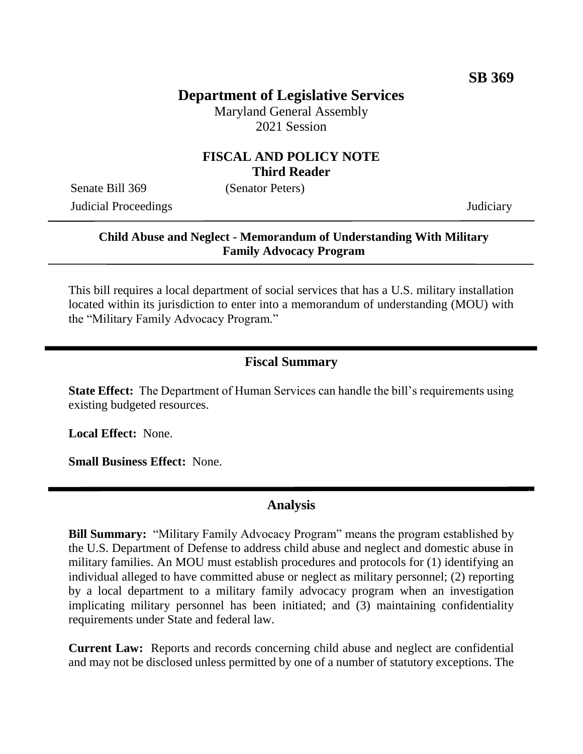# **Department of Legislative Services**

Maryland General Assembly 2021 Session

#### **FISCAL AND POLICY NOTE Third Reader**

Senate Bill 369 (Senator Peters) Judicial Proceedings Judiciary

### **Child Abuse and Neglect - Memorandum of Understanding With Military Family Advocacy Program**

This bill requires a local department of social services that has a U.S. military installation located within its jurisdiction to enter into a memorandum of understanding (MOU) with the "Military Family Advocacy Program."

## **Fiscal Summary**

**State Effect:** The Department of Human Services can handle the bill's requirements using existing budgeted resources.

**Local Effect:** None.

**Small Business Effect:** None.

### **Analysis**

**Bill Summary:** "Military Family Advocacy Program" means the program established by the U.S. Department of Defense to address child abuse and neglect and domestic abuse in military families. An MOU must establish procedures and protocols for (1) identifying an individual alleged to have committed abuse or neglect as military personnel; (2) reporting by a local department to a military family advocacy program when an investigation implicating military personnel has been initiated; and (3) maintaining confidentiality requirements under State and federal law.

**Current Law:** Reports and records concerning child abuse and neglect are confidential and may not be disclosed unless permitted by one of a number of statutory exceptions. The